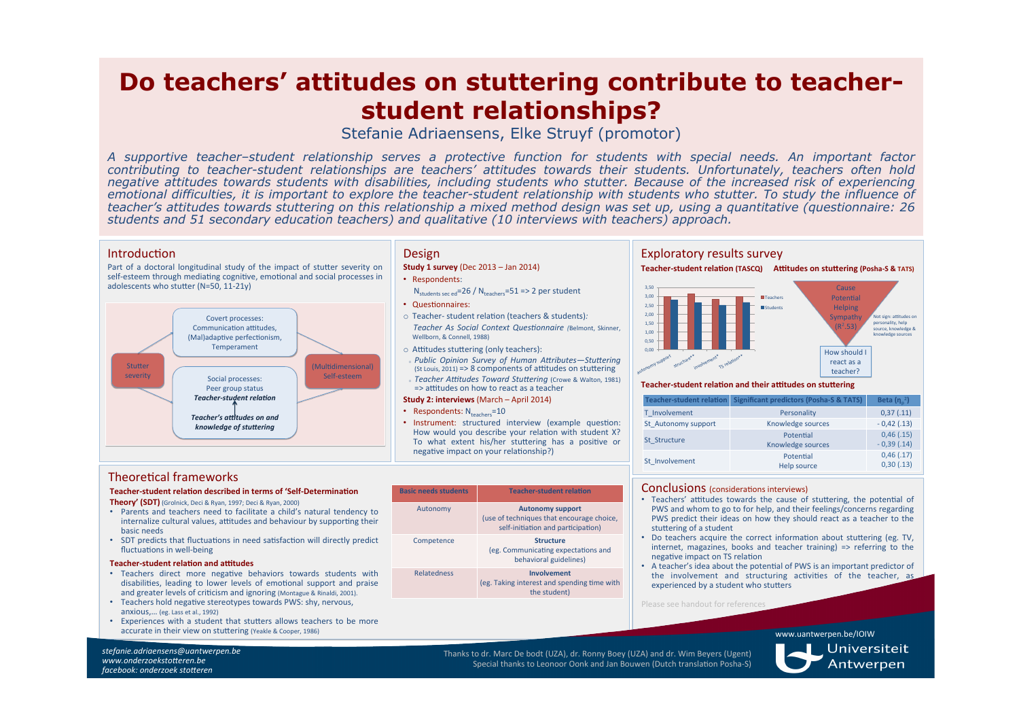# **Do teachers' attitudes on stuttering contribute to teacherstudent relationships?**

Stefanie Adriaensens, Elke Struyf (promotor)

*A supportive teacher–student relationship serves a protective function for students with special needs. An important factor contributing to teacher-student relationships are teachers' attitudes towards their students. Unfortunately, teachers often hold negative attitudes towards students with disabilities, including students who stutter. Because of the increased risk of experiencing emotional difficulties, it is important to explore the teacher-student relationship with students who stutter. To study the influence of teacher's attitudes towards stuttering on this relationship a mixed method design was set up, using a quantitative (questionnaire: 26 students and 51 secondary education teachers) and qualitative (10 interviews with teachers) approach.* 

#### Introduction

Part of a doctoral longitudinal study of the impact of stutter severity on  $s$ elf-esteem through mediating cognitive, emotional and social processes in adolescents who stutter ( $N=50$ , 11-21y)



# Design

**Study 1 survey** (Dec 2013 – Jan 2014)

- Respondents:
- $N_{\text{students sec, ed}}$ =26 /  $N_{\text{teaches}}$ =51 => 2 per student
- Questionnaires:
- o Teacher- student relation (teachers & students): *Teacher" As" Social" Context"Ques5onnaire" (*Belmont,) Skinner,) Wellborn, & Connell, 1988)
- o Attitudes stuttering (only teachers):
- Public Opinion Survey of Human Attributes-Stuttering  $(St Louis, 2011) = > 8$  components of attitudes on stuttering
- fieacher Attitudes Toward Stuttering (Crowe & Walton, 1981)  $\Rightarrow$  attitudes on how to react as a teacher

#### **Study 2: interviews** (March – April 2014)

- Respondents:  $N_{teaches}=10$
- Instrument: structured interview (example question: How would you describe your relation with student X? To what extent his/her stuttering has a positive or negative impact on your relationship?)

# Exploratory results survey

#### **Teacher-student relation (TASCQ)** Attitudes on stuttering (Posha-S & TATS)



#### **Teacher-student relation and their attitudes on stuttering**

| Teacher-student relation | <b>Significant predictors (Posha-S &amp; TATS)</b> | Beta $(n_n^2)$            |
|--------------------------|----------------------------------------------------|---------------------------|
| T Involvement            | Personality                                        | 0,37(.11)                 |
| St Autonomy support      | Knowledge sources                                  | $-0,42(.13)$              |
| St Structure             | Potential<br>Knowledge sources                     | 0,46(.15)<br>$-0,39(.14)$ |
| St Involvement           | Potential<br>Help source                           | 0,46(.17)<br>0,30(.13)    |

## Theoretical frameworks

#### **Teacher-student relation described in terms of 'Self-Determination**

**Theory' (SDT)** (Grolnick, Deci & Ryan, 1997; Deci & Ryan, 2000)

- Parents and teachers need to facilitate a child's natural tendency to internalize cultural values, attitudes and behaviour by supporting their basic)needs
- SDT predicts that fluctuations in need satisfaction will directly predict fluctuations in well-being

#### **Teacher-student relation and attitudes**

- Teachers direct more negative behaviors towards students with disabilities, leading to lower levels of emotional support and praise and greater levels of criticism and ignoring (Montague & Rinaldi, 2001).
- Teachers hold negative stereotypes towards PWS: shy, nervous, anxious,... (eg. Lass et al., 1992)
- Experiences with a student that stutters allows teachers to be more accurate in their view on stuttering (Yeakle & Cooper, 1986)

**Basic needs students Teacher-student relation** Autonomy **Autonomy support** (use of techniques that encourage choice,) self-initiation and participation) **Competence Structure** (eg. Communicating expectations and behavioral guidelines) Relatedness) **Involvement&** (eg. Taking interest and spending time with) the student)

### Conclusions (considerations interviews)

- Teachers' attitudes towards the cause of stuttering, the potential of PWS and whom to go to for help, and their feelings/concerns regarding PWS predict their ideas on how they should react as a teacher to the stuttering of a student
- Do teachers acquire the correct information about stuttering (eg. TV, internet, magazines, books and teacher training) => referring to the negative impact on TS relation
- A teacher's idea about the potential of PWS is an important predictor of the involvement and structuring activities of the teacher, as experienced by a student who stutters

Please see handout for reference

www.uantwerpen.be/IOIW)

Thanks to dr. Marc De bodt (UZA), dr. Ronny Boey (UZA) and dr. Wim Beyers (Ugent) Special thanks to Leonoor Oonk and Jan Bouwen (Dutch translation Posha-S)

Universiteit Antwerpen

*stefanie.adriaensens@uantwerpen.be* www.onderzoekstotteren.be *facebook: onderzoek stotteren*